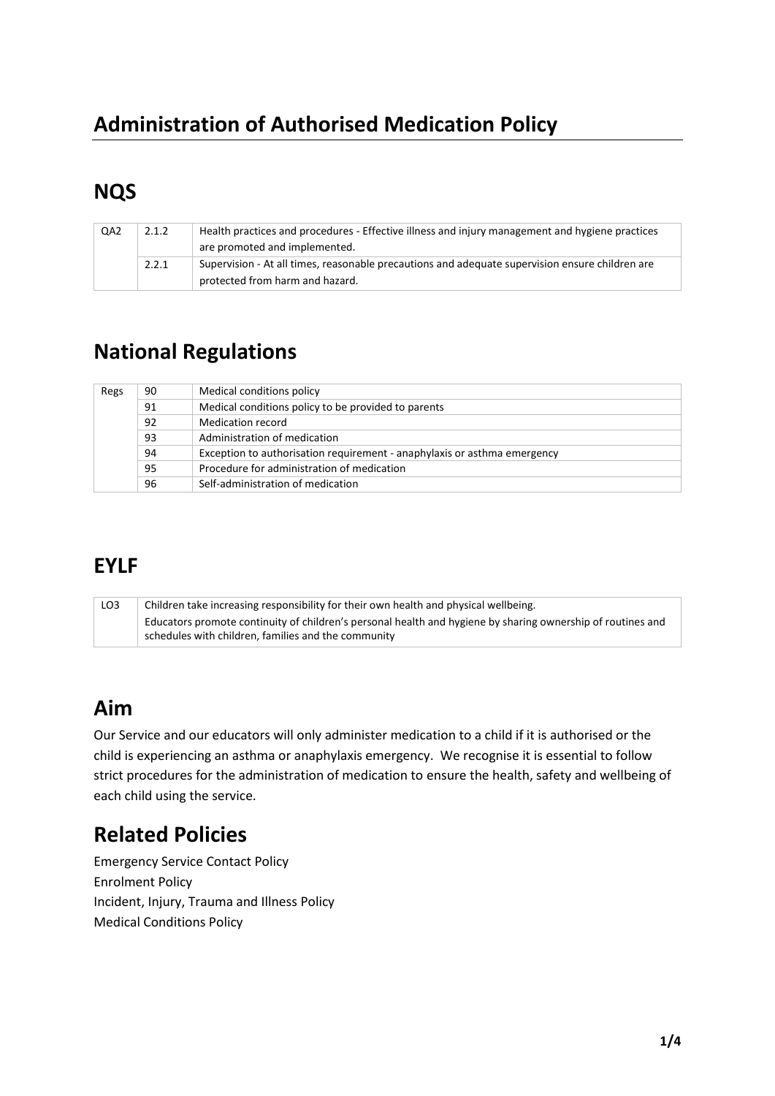# **Administration of Authorised Medication Policy**

## **NQS**

| QA <sub>2</sub> | 2.1.2 | Health practices and procedures - Effective illness and injury management and hygiene practices<br>are promoted and implemented.   |
|-----------------|-------|------------------------------------------------------------------------------------------------------------------------------------|
|                 | 2.2.1 | Supervision - At all times, reasonable precautions and adequate supervision ensure children are<br>protected from harm and hazard. |

## **National Regulations**

| Regs | 90 | Medical conditions policy                                                |
|------|----|--------------------------------------------------------------------------|
|      | 91 | Medical conditions policy to be provided to parents                      |
|      | 92 | Medication record                                                        |
|      | 93 | Administration of medication                                             |
|      | 94 | Exception to authorisation requirement - anaphylaxis or asthma emergency |
|      | 95 | Procedure for administration of medication                               |
|      | 96 | Self-administration of medication                                        |

### **EYLF**

| LO <sub>3</sub> | Children take increasing responsibility for their own health and physical wellbeing.                        |  |
|-----------------|-------------------------------------------------------------------------------------------------------------|--|
|                 | Educators promote continuity of children's personal health and hygiene by sharing ownership of routines and |  |
|                 | schedules with children, families and the community                                                         |  |

## **Aim**

Our Service and our educators will only administer medication to a child if it is authorised or the child is experiencing an asthma or anaphylaxis emergency. We recognise it is essential to follow strict procedures for the administration of medication to ensure the health, safety and wellbeing of each child using the service.

## **Related Policies**

Emergency Service Contact Policy Enrolment Policy Incident, Injury, Trauma and Illness Policy Medical Conditions Policy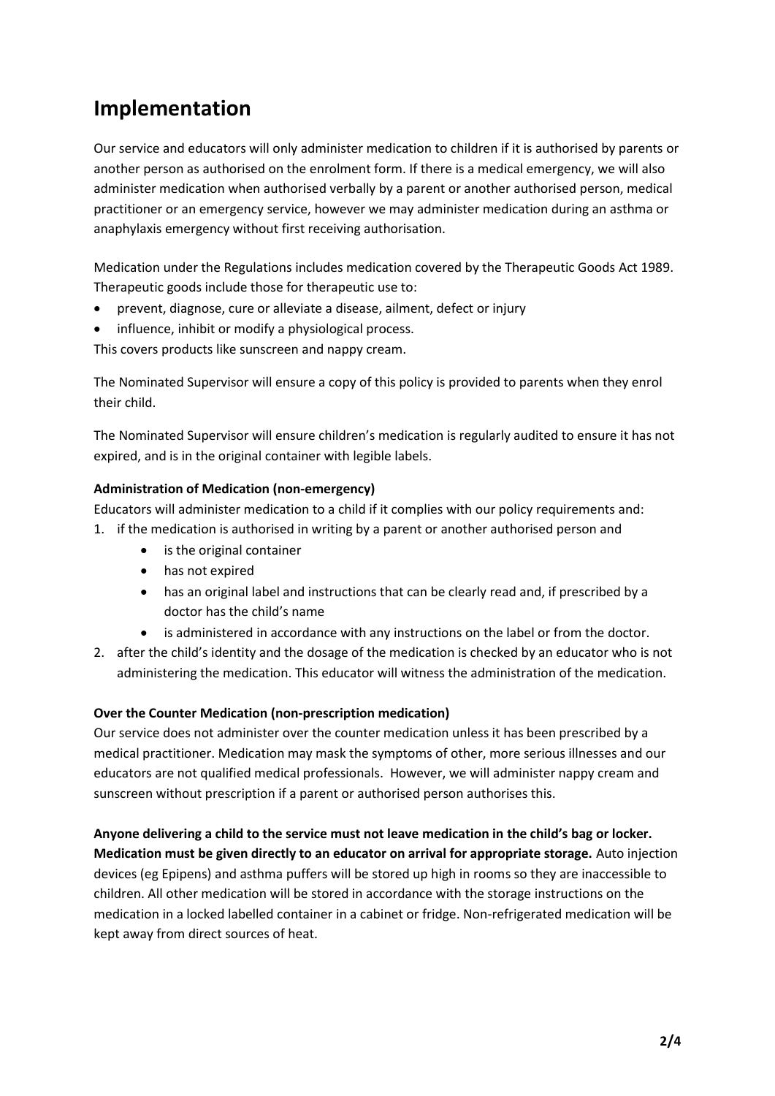# **Implementation**

Our service and educators will only administer medication to children if it is authorised by parents or another person as authorised on the enrolment form. If there is a medical emergency, we will also administer medication when authorised verbally by a parent or another authorised person, medical practitioner or an emergency service, however we may administer medication during an asthma or anaphylaxis emergency without first receiving authorisation.

Medication under the Regulations includes medication covered by the Therapeutic Goods Act 1989. Therapeutic goods include those fo[r therapeutic use](http://www.austlii.edu.au/au/legis/cth/consol_act/tga1989191/s3.html#therapeutic_use?stem=0&synonyms=0&query=definition) to:

- prevent, diagnose, cure or alleviate a disease, ailment, defect or injury
- influence, inhibit or modify a physiological process.

This covers products like sunscreen and nappy cream.

The Nominated Supervisor will ensure a copy of this policy is provided to parents when they enrol their child.

The Nominated Supervisor will ensure children's medication is regularly audited to ensure it has not expired, and is in the original container with legible labels.

#### **Administration of Medication (non-emergency)**

Educators will administer medication to a child if it complies with our policy requirements and:

- 1. if the medication is authorised in writing by a parent or another authorised person and
	- is the original container
	- has not expired
	- has an original label and instructions that can be clearly read and, if prescribed by a doctor has the child's name
	- is administered in accordance with any instructions on the label or from the doctor.
- 2. after the child's identity and the dosage of the medication is checked by an educator who is not administering the medication. This educator will witness the administration of the medication.

#### **Over the Counter Medication (non-prescription medication)**

Our service does not administer over the counter medication unless it has been prescribed by a medical practitioner. Medication may mask the symptoms of other, more serious illnesses and our educators are not qualified medical professionals. However, we will administer nappy cream and sunscreen without prescription if a parent or authorised person authorises this.

**Anyone delivering a child to the service must not leave medication in the child's bag or locker. Medication must be given directly to an educator on arrival for appropriate storage.** Auto injection devices (eg Epipens) and asthma puffers will be stored up high in rooms so they are inaccessible to children. All other medication will be stored in accordance with the storage instructions on the medication in a locked labelled container in a cabinet or fridge. Non-refrigerated medication will be kept away from direct sources of heat.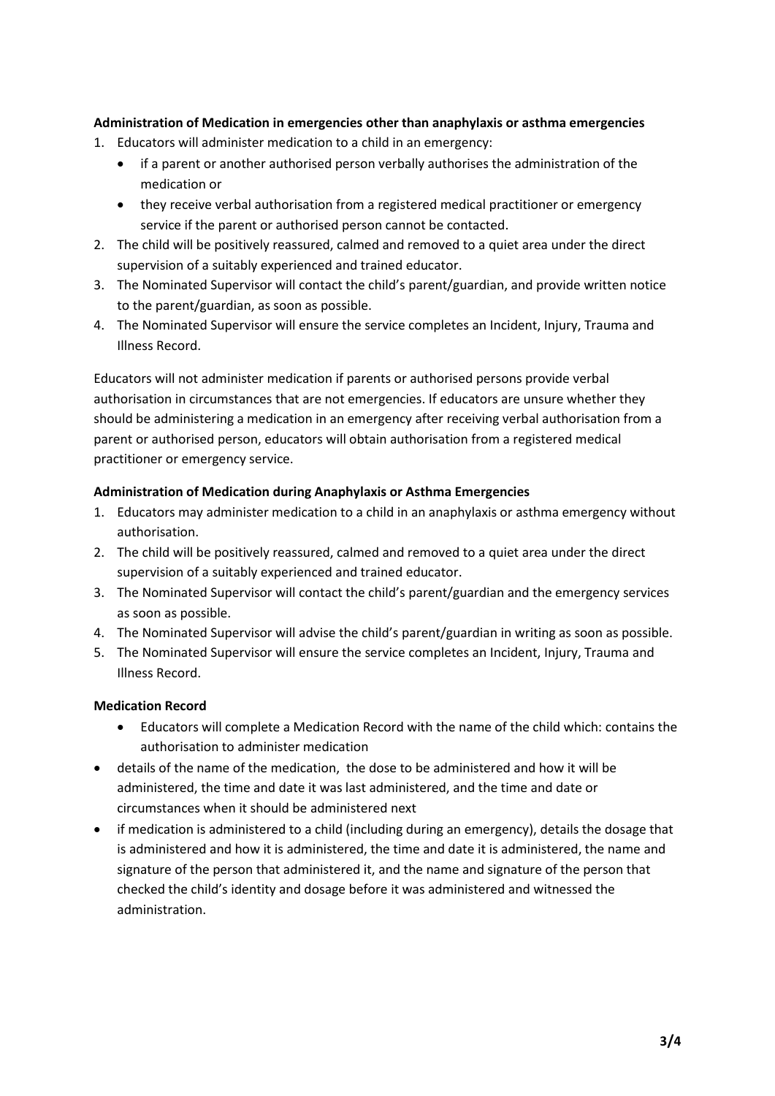#### **Administration of Medication in emergencies other than anaphylaxis or asthma emergencies**

- 1. Educators will administer medication to a child in an emergency:
	- if a parent or another authorised person verbally authorises the administration of the medication or
	- they receive verbal authorisation from a registered medical practitioner or emergency service if the parent or authorised person cannot be contacted.
- 2. The child will be positively reassured, calmed and removed to a quiet area under the direct supervision of a suitably experienced and trained educator.
- 3. The Nominated Supervisor will contact the child's parent/guardian, and provide written notice to the parent/guardian, as soon as possible.
- 4. The Nominated Supervisor will ensure the service completes an Incident, Injury, Trauma and Illness Record.

Educators will not administer medication if parents or authorised persons provide verbal authorisation in circumstances that are not emergencies. If educators are unsure whether they should be administering a medication in an emergency after receiving verbal authorisation from a parent or authorised person, educators will obtain authorisation from a registered medical practitioner or emergency service.

#### **Administration of Medication during Anaphylaxis or Asthma Emergencies**

- 1. Educators may administer medication to a child in an anaphylaxis or asthma emergency without authorisation.
- 2. The child will be positively reassured, calmed and removed to a quiet area under the direct supervision of a suitably experienced and trained educator.
- 3. The Nominated Supervisor will contact the child's parent/guardian and the emergency services as soon as possible.
- 4. The Nominated Supervisor will advise the child's parent/guardian in writing as soon as possible.
- 5. The Nominated Supervisor will ensure the service completes an Incident, Injury, Trauma and Illness Record.

#### **Medication Record**

- Educators will complete a Medication Record with the name of the child which: contains the authorisation to administer medication
- details of the name of the medication, the dose to be administered and how it will be administered, the time and date it was last administered, and the time and date or circumstances when it should be administered next
- if medication is administered to a child (including during an emergency), details the dosage that is administered and how it is administered, the time and date it is administered, the name and signature of the person that administered it, and the name and signature of the person that checked the child's identity and dosage before it was administered and witnessed the administration.